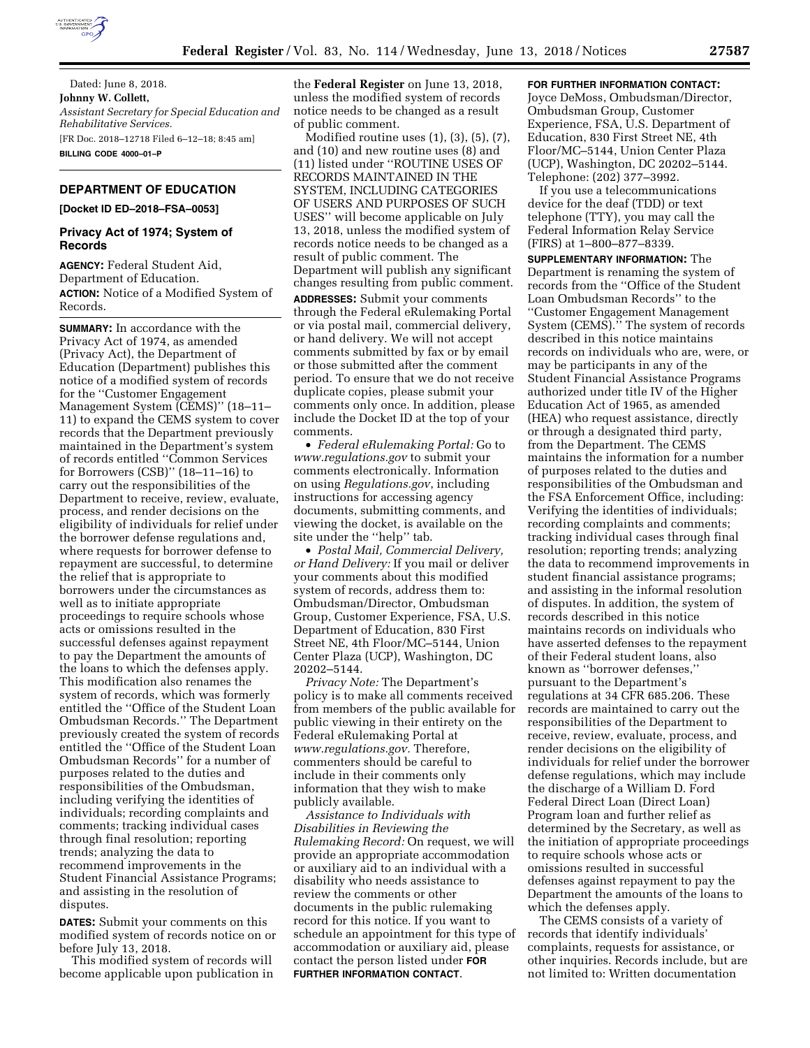

Dated: June 8, 2018. **Johnny W. Collett,**  *Assistant Secretary for Special Education and Rehabilitative Services.*  [FR Doc. 2018–12718 Filed 6–12–18; 8:45 am] **BILLING CODE 4000–01–P** 

# **DEPARTMENT OF EDUCATION**

**[Docket ID ED–2018–FSA–0053]** 

## **Privacy Act of 1974; System of Records**

**AGENCY:** Federal Student Aid, Department of Education. **ACTION:** Notice of a Modified System of Records.

**SUMMARY:** In accordance with the Privacy Act of 1974, as amended (Privacy Act), the Department of Education (Department) publishes this notice of a modified system of records for the ''Customer Engagement Management System (CEMS)'' (18–11– 11) to expand the CEMS system to cover records that the Department previously maintained in the Department's system of records entitled ''Common Services for Borrowers (CSB)'' (18–11–16) to carry out the responsibilities of the Department to receive, review, evaluate, process, and render decisions on the eligibility of individuals for relief under the borrower defense regulations and, where requests for borrower defense to repayment are successful, to determine the relief that is appropriate to borrowers under the circumstances as well as to initiate appropriate proceedings to require schools whose acts or omissions resulted in the successful defenses against repayment to pay the Department the amounts of the loans to which the defenses apply. This modification also renames the system of records, which was formerly entitled the ''Office of the Student Loan Ombudsman Records.'' The Department previously created the system of records entitled the ''Office of the Student Loan Ombudsman Records'' for a number of purposes related to the duties and responsibilities of the Ombudsman, including verifying the identities of individuals; recording complaints and comments; tracking individual cases through final resolution; reporting trends; analyzing the data to recommend improvements in the Student Financial Assistance Programs; and assisting in the resolution of disputes.

**DATES:** Submit your comments on this modified system of records notice on or before July 13, 2018.

This modified system of records will become applicable upon publication in

the **Federal Register** on June 13, 2018, unless the modified system of records notice needs to be changed as a result of public comment.

Modified routine uses (1), (3), (5), (7), and (10) and new routine uses (8) and (11) listed under ''ROUTINE USES OF RECORDS MAINTAINED IN THE SYSTEM, INCLUDING CATEGORIES OF USERS AND PURPOSES OF SUCH USES'' will become applicable on July 13, 2018, unless the modified system of records notice needs to be changed as a result of public comment. The Department will publish any significant changes resulting from public comment.

**ADDRESSES:** Submit your comments through the Federal eRulemaking Portal or via postal mail, commercial delivery, or hand delivery. We will not accept comments submitted by fax or by email or those submitted after the comment period. To ensure that we do not receive duplicate copies, please submit your comments only once. In addition, please include the Docket ID at the top of your comments.

• *Federal eRulemaking Portal:* Go to *[www.regulations.gov](http://www.regulations.gov)* to submit your comments electronically. Information on using *Regulations.gov*, including instructions for accessing agency documents, submitting comments, and viewing the docket, is available on the site under the "help" tab.

• *Postal Mail, Commercial Delivery, or Hand Delivery:* If you mail or deliver your comments about this modified system of records, address them to: Ombudsman/Director, Ombudsman Group, Customer Experience, FSA, U.S. Department of Education, 830 First Street NE, 4th Floor/MC–5144, Union Center Plaza (UCP), Washington, DC 20202–5144.

*Privacy Note:* The Department's policy is to make all comments received from members of the public available for public viewing in their entirety on the Federal eRulemaking Portal at *[www.regulations.gov.](http://www.regulations.gov)* Therefore, commenters should be careful to include in their comments only information that they wish to make publicly available.

*Assistance to Individuals with Disabilities in Reviewing the Rulemaking Record:* On request, we will provide an appropriate accommodation or auxiliary aid to an individual with a disability who needs assistance to review the comments or other documents in the public rulemaking record for this notice. If you want to schedule an appointment for this type of accommodation or auxiliary aid, please contact the person listed under **FOR FURTHER INFORMATION CONTACT**.

# **FOR FURTHER INFORMATION CONTACT:**

Joyce DeMoss, Ombudsman/Director, Ombudsman Group, Customer Experience, FSA, U.S. Department of Education, 830 First Street NE, 4th Floor/MC–5144, Union Center Plaza (UCP), Washington, DC 20202–5144. Telephone: (202) 377–3992.

If you use a telecommunications device for the deaf (TDD) or text telephone (TTY), you may call the Federal Information Relay Service (FIRS) at 1–800–877–8339.

**SUPPLEMENTARY INFORMATION:** The Department is renaming the system of records from the ''Office of the Student Loan Ombudsman Records'' to the ''Customer Engagement Management System (CEMS).'' The system of records described in this notice maintains records on individuals who are, were, or may be participants in any of the Student Financial Assistance Programs authorized under title IV of the Higher Education Act of 1965, as amended (HEA) who request assistance, directly or through a designated third party, from the Department. The CEMS maintains the information for a number of purposes related to the duties and responsibilities of the Ombudsman and the FSA Enforcement Office, including: Verifying the identities of individuals; recording complaints and comments; tracking individual cases through final resolution; reporting trends; analyzing the data to recommend improvements in student financial assistance programs; and assisting in the informal resolution of disputes. In addition, the system of records described in this notice maintains records on individuals who have asserted defenses to the repayment of their Federal student loans, also known as ''borrower defenses,'' pursuant to the Department's regulations at 34 CFR 685.206. These records are maintained to carry out the responsibilities of the Department to receive, review, evaluate, process, and render decisions on the eligibility of individuals for relief under the borrower defense regulations, which may include the discharge of a William D. Ford Federal Direct Loan (Direct Loan) Program loan and further relief as determined by the Secretary, as well as the initiation of appropriate proceedings to require schools whose acts or omissions resulted in successful defenses against repayment to pay the Department the amounts of the loans to which the defenses apply.

The CEMS consists of a variety of records that identify individuals' complaints, requests for assistance, or other inquiries. Records include, but are not limited to: Written documentation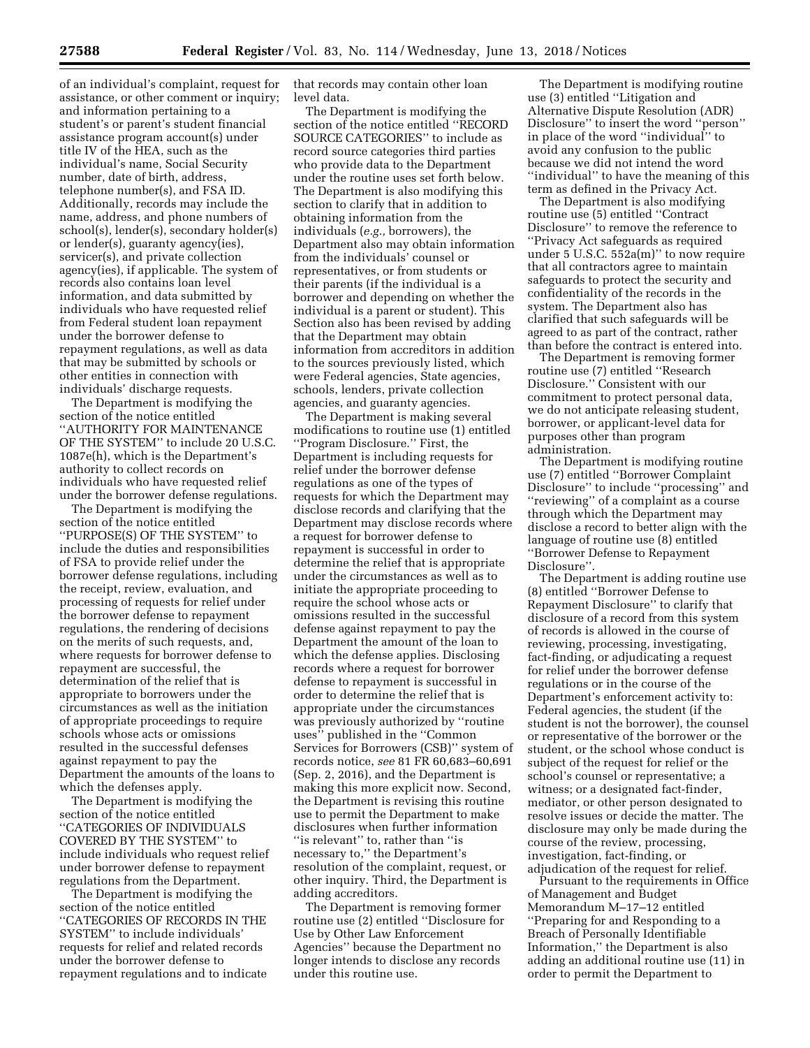of an individual's complaint, request for assistance, or other comment or inquiry; and information pertaining to a student's or parent's student financial assistance program account(s) under title IV of the HEA, such as the individual's name, Social Security number, date of birth, address, telephone number(s), and FSA ID. Additionally, records may include the name, address, and phone numbers of school(s), lender(s), secondary holder(s) or lender(s), guaranty agency(ies), servicer(s), and private collection agency(ies), if applicable. The system of records also contains loan level information, and data submitted by individuals who have requested relief from Federal student loan repayment under the borrower defense to repayment regulations, as well as data that may be submitted by schools or other entities in connection with individuals' discharge requests.

The Department is modifying the section of the notice entitled ''AUTHORITY FOR MAINTENANCE OF THE SYSTEM'' to include 20 U.S.C. 1087e(h), which is the Department's authority to collect records on individuals who have requested relief under the borrower defense regulations.

The Department is modifying the section of the notice entitled ''PURPOSE(S) OF THE SYSTEM'' to include the duties and responsibilities of FSA to provide relief under the borrower defense regulations, including the receipt, review, evaluation, and processing of requests for relief under the borrower defense to repayment regulations, the rendering of decisions on the merits of such requests, and, where requests for borrower defense to repayment are successful, the determination of the relief that is appropriate to borrowers under the circumstances as well as the initiation of appropriate proceedings to require schools whose acts or omissions resulted in the successful defenses against repayment to pay the Department the amounts of the loans to which the defenses apply.

The Department is modifying the section of the notice entitled ''CATEGORIES OF INDIVIDUALS COVERED BY THE SYSTEM'' to include individuals who request relief under borrower defense to repayment regulations from the Department.

The Department is modifying the section of the notice entitled ''CATEGORIES OF RECORDS IN THE SYSTEM'' to include individuals' requests for relief and related records under the borrower defense to repayment regulations and to indicate that records may contain other loan level data.

The Department is modifying the section of the notice entitled ''RECORD SOURCE CATEGORIES'' to include as record source categories third parties who provide data to the Department under the routine uses set forth below. The Department is also modifying this section to clarify that in addition to obtaining information from the individuals (*e.g.,* borrowers), the Department also may obtain information from the individuals' counsel or representatives, or from students or their parents (if the individual is a borrower and depending on whether the individual is a parent or student). This Section also has been revised by adding that the Department may obtain information from accreditors in addition to the sources previously listed, which were Federal agencies, State agencies, schools, lenders, private collection agencies, and guaranty agencies.

The Department is making several modifications to routine use (1) entitled ''Program Disclosure.'' First, the Department is including requests for relief under the borrower defense regulations as one of the types of requests for which the Department may disclose records and clarifying that the Department may disclose records where a request for borrower defense to repayment is successful in order to determine the relief that is appropriate under the circumstances as well as to initiate the appropriate proceeding to require the school whose acts or omissions resulted in the successful defense against repayment to pay the Department the amount of the loan to which the defense applies. Disclosing records where a request for borrower defense to repayment is successful in order to determine the relief that is appropriate under the circumstances was previously authorized by ''routine uses'' published in the ''Common Services for Borrowers (CSB)'' system of records notice, *see* 81 FR 60,683–60,691 (Sep. 2, 2016), and the Department is making this more explicit now. Second, the Department is revising this routine use to permit the Department to make disclosures when further information ''is relevant'' to, rather than ''is necessary to,'' the Department's resolution of the complaint, request, or other inquiry. Third, the Department is adding accreditors.

The Department is removing former routine use (2) entitled ''Disclosure for Use by Other Law Enforcement Agencies'' because the Department no longer intends to disclose any records under this routine use.

The Department is modifying routine use (3) entitled ''Litigation and Alternative Dispute Resolution (ADR) Disclosure'' to insert the word ''person'' in place of the word ''individual'' to avoid any confusion to the public because we did not intend the word ''individual'' to have the meaning of this term as defined in the Privacy Act.

The Department is also modifying routine use (5) entitled ''Contract Disclosure'' to remove the reference to ''Privacy Act safeguards as required under 5 U.S.C. 552a(m)'' to now require that all contractors agree to maintain safeguards to protect the security and confidentiality of the records in the system. The Department also has clarified that such safeguards will be agreed to as part of the contract, rather than before the contract is entered into.

The Department is removing former routine use (7) entitled ''Research Disclosure.'' Consistent with our commitment to protect personal data, we do not anticipate releasing student, borrower, or applicant-level data for purposes other than program administration.

The Department is modifying routine use (7) entitled ''Borrower Complaint Disclosure'' to include ''processing'' and ''reviewing'' of a complaint as a course through which the Department may disclose a record to better align with the language of routine use (8) entitled ''Borrower Defense to Repayment Disclosure''.

The Department is adding routine use (8) entitled ''Borrower Defense to Repayment Disclosure'' to clarify that disclosure of a record from this system of records is allowed in the course of reviewing, processing, investigating, fact-finding, or adjudicating a request for relief under the borrower defense regulations or in the course of the Department's enforcement activity to: Federal agencies, the student (if the student is not the borrower), the counsel or representative of the borrower or the student, or the school whose conduct is subject of the request for relief or the school's counsel or representative; a witness; or a designated fact-finder, mediator, or other person designated to resolve issues or decide the matter. The disclosure may only be made during the course of the review, processing, investigation, fact-finding, or adjudication of the request for relief.

Pursuant to the requirements in Office of Management and Budget Memorandum M–17–12 entitled ''Preparing for and Responding to a Breach of Personally Identifiable Information,'' the Department is also adding an additional routine use (11) in order to permit the Department to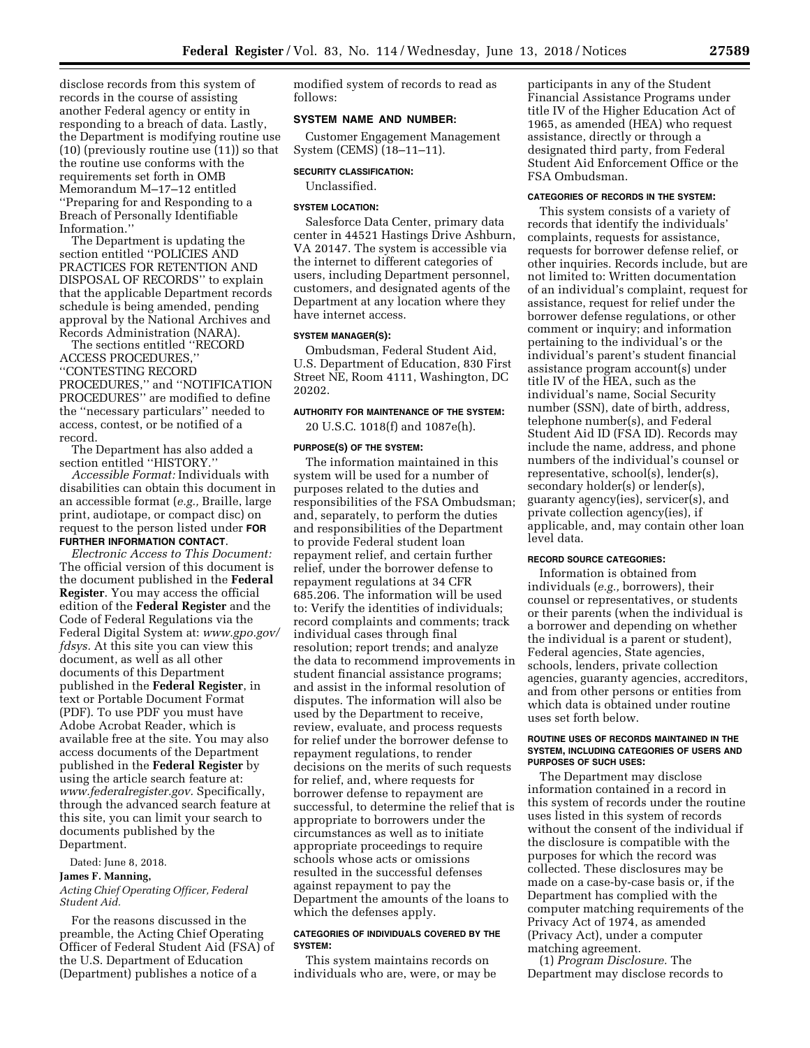disclose records from this system of records in the course of assisting another Federal agency or entity in responding to a breach of data. Lastly, the Department is modifying routine use (10) (previously routine use (11)) so that the routine use conforms with the requirements set forth in OMB Memorandum M–17–12 entitled ''Preparing for and Responding to a Breach of Personally Identifiable Information.''

The Department is updating the section entitled ''POLICIES AND PRACTICES FOR RETENTION AND DISPOSAL OF RECORDS'' to explain that the applicable Department records schedule is being amended, pending approval by the National Archives and Records Administration (NARA).

The sections entitled ''RECORD ACCESS PROCEDURES,'' ''CONTESTING RECORD

PROCEDURES,'' and ''NOTIFICATION PROCEDURES'' are modified to define the ''necessary particulars'' needed to access, contest, or be notified of a record.

The Department has also added a section entitled ''HISTORY.''

*Accessible Format:* Individuals with disabilities can obtain this document in an accessible format (*e.g.,* Braille, large print, audiotape, or compact disc) on request to the person listed under **FOR FURTHER INFORMATION CONTACT**.

*Electronic Access to This Document:*  The official version of this document is the document published in the **Federal Register**. You may access the official edition of the **Federal Register** and the Code of Federal Regulations via the Federal Digital System at: *[www.gpo.gov/](http://www.gpo.gov/fdsys)  [fdsys.](http://www.gpo.gov/fdsys)* At this site you can view this document, as well as all other documents of this Department published in the **Federal Register**, in text or Portable Document Format (PDF). To use PDF you must have Adobe Acrobat Reader, which is available free at the site. You may also access documents of the Department published in the **Federal Register** by using the article search feature at: *[www.federalregister.gov.](http://www.federalregister.gov)* Specifically, through the advanced search feature at this site, you can limit your search to documents published by the Department.

Dated: June 8, 2018.

#### **James F. Manning,**

*Acting Chief Operating Officer, Federal Student Aid.* 

For the reasons discussed in the preamble, the Acting Chief Operating Officer of Federal Student Aid (FSA) of the U.S. Department of Education (Department) publishes a notice of a

modified system of records to read as follows:

## **SYSTEM NAME AND NUMBER:**

Customer Engagement Management System (CEMS) (18–11–11).

#### **SECURITY CLASSIFICATION:**

Unclassified.

#### **SYSTEM LOCATION:**

Salesforce Data Center, primary data center in 44521 Hastings Drive Ashburn, VA 20147. The system is accessible via the internet to different categories of users, including Department personnel, customers, and designated agents of the Department at any location where they have internet access.

### **SYSTEM MANAGER(S):**

Ombudsman, Federal Student Aid, U.S. Department of Education, 830 First Street NE, Room 4111, Washington, DC 20202.

### **AUTHORITY FOR MAINTENANCE OF THE SYSTEM:**

20 U.S.C. 1018(f) and 1087e(h).

## **PURPOSE(S) OF THE SYSTEM:**

The information maintained in this system will be used for a number of purposes related to the duties and responsibilities of the FSA Ombudsman; and, separately, to perform the duties and responsibilities of the Department to provide Federal student loan repayment relief, and certain further relief, under the borrower defense to repayment regulations at 34 CFR 685.206. The information will be used to: Verify the identities of individuals; record complaints and comments; track individual cases through final resolution; report trends; and analyze the data to recommend improvements in student financial assistance programs; and assist in the informal resolution of disputes. The information will also be used by the Department to receive, review, evaluate, and process requests for relief under the borrower defense to repayment regulations, to render decisions on the merits of such requests for relief, and, where requests for borrower defense to repayment are successful, to determine the relief that is appropriate to borrowers under the circumstances as well as to initiate appropriate proceedings to require schools whose acts or omissions resulted in the successful defenses against repayment to pay the Department the amounts of the loans to which the defenses apply.

## **CATEGORIES OF INDIVIDUALS COVERED BY THE SYSTEM:**

This system maintains records on individuals who are, were, or may be

participants in any of the Student Financial Assistance Programs under title IV of the Higher Education Act of 1965, as amended (HEA) who request assistance, directly or through a designated third party, from Federal Student Aid Enforcement Office or the FSA Ombudsman.

# **CATEGORIES OF RECORDS IN THE SYSTEM:**

This system consists of a variety of records that identify the individuals' complaints, requests for assistance, requests for borrower defense relief, or other inquiries. Records include, but are not limited to: Written documentation of an individual's complaint, request for assistance, request for relief under the borrower defense regulations, or other comment or inquiry; and information pertaining to the individual's or the individual's parent's student financial assistance program account(s) under title IV of the HEA, such as the individual's name, Social Security number (SSN), date of birth, address, telephone number(s), and Federal Student Aid ID (FSA ID). Records may include the name, address, and phone numbers of the individual's counsel or representative, school(s), lender(s), secondary holder(s) or lender(s), guaranty agency(ies), servicer(s), and private collection agency(ies), if applicable, and, may contain other loan level data.

# **RECORD SOURCE CATEGORIES:**

Information is obtained from individuals (*e.g.,* borrowers), their counsel or representatives, or students or their parents (when the individual is a borrower and depending on whether the individual is a parent or student), Federal agencies, State agencies, schools, lenders, private collection agencies, guaranty agencies, accreditors, and from other persons or entities from which data is obtained under routine uses set forth below.

## **ROUTINE USES OF RECORDS MAINTAINED IN THE SYSTEM, INCLUDING CATEGORIES OF USERS AND PURPOSES OF SUCH USES:**

The Department may disclose information contained in a record in this system of records under the routine uses listed in this system of records without the consent of the individual if the disclosure is compatible with the purposes for which the record was collected. These disclosures may be made on a case-by-case basis or, if the Department has complied with the computer matching requirements of the Privacy Act of 1974, as amended (Privacy Act), under a computer matching agreement.

(1) *Program Disclosure.* The Department may disclose records to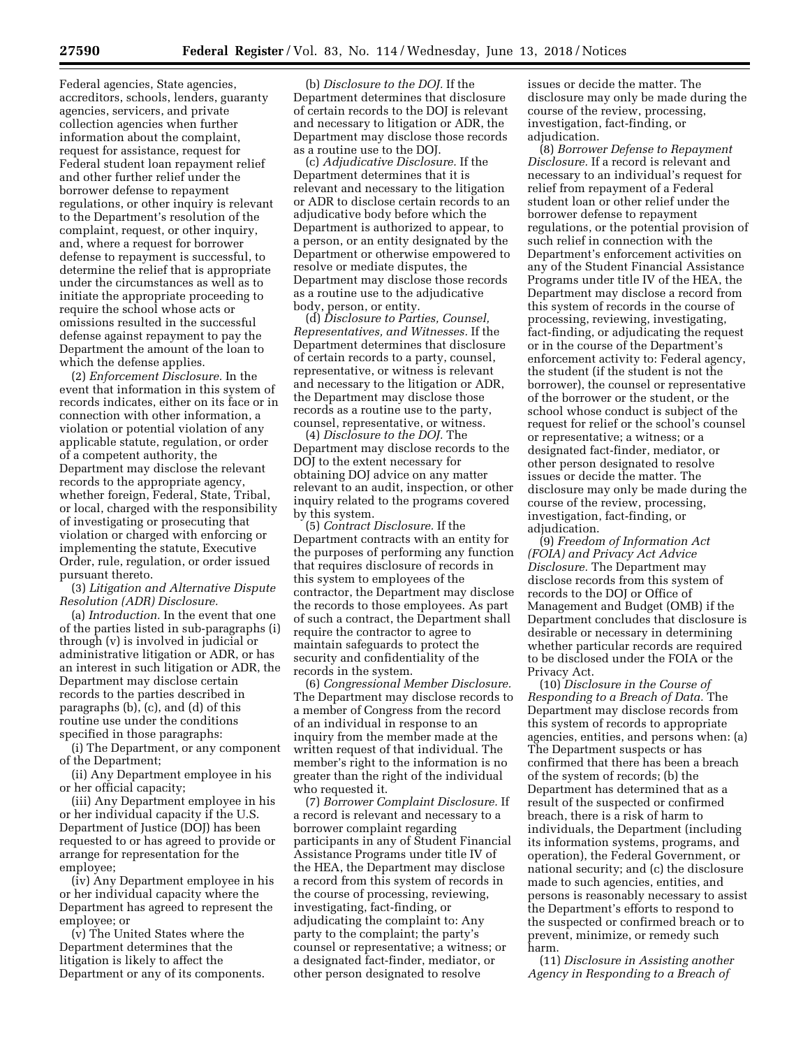Federal agencies, State agencies, accreditors, schools, lenders, guaranty agencies, servicers, and private collection agencies when further information about the complaint, request for assistance, request for Federal student loan repayment relief and other further relief under the borrower defense to repayment regulations, or other inquiry is relevant to the Department's resolution of the complaint, request, or other inquiry, and, where a request for borrower defense to repayment is successful, to determine the relief that is appropriate under the circumstances as well as to initiate the appropriate proceeding to require the school whose acts or omissions resulted in the successful defense against repayment to pay the Department the amount of the loan to which the defense applies.

(2) *Enforcement Disclosure.* In the event that information in this system of records indicates, either on its face or in connection with other information, a violation or potential violation of any applicable statute, regulation, or order of a competent authority, the Department may disclose the relevant records to the appropriate agency, whether foreign, Federal, State, Tribal, or local, charged with the responsibility of investigating or prosecuting that violation or charged with enforcing or implementing the statute, Executive Order, rule, regulation, or order issued pursuant thereto.

(3) *Litigation and Alternative Dispute Resolution (ADR) Disclosure.* 

(a) *Introduction.* In the event that one of the parties listed in sub-paragraphs (i) through (v) is involved in judicial or administrative litigation or ADR, or has an interest in such litigation or ADR, the Department may disclose certain records to the parties described in paragraphs (b), (c), and (d) of this routine use under the conditions specified in those paragraphs:

(i) The Department, or any component of the Department;

(ii) Any Department employee in his or her official capacity;

(iii) Any Department employee in his or her individual capacity if the U.S. Department of Justice (DOJ) has been requested to or has agreed to provide or arrange for representation for the employee;

(iv) Any Department employee in his or her individual capacity where the Department has agreed to represent the employee; or

(v) The United States where the Department determines that the litigation is likely to affect the Department or any of its components.

(b) *Disclosure to the DOJ.* If the Department determines that disclosure of certain records to the DOJ is relevant and necessary to litigation or ADR, the Department may disclose those records as a routine use to the DOJ.

(c) *Adjudicative Disclosure.* If the Department determines that it is relevant and necessary to the litigation or ADR to disclose certain records to an adjudicative body before which the Department is authorized to appear, to a person, or an entity designated by the Department or otherwise empowered to resolve or mediate disputes, the Department may disclose those records as a routine use to the adjudicative body, person, or entity.

(d) *Disclosure to Parties, Counsel, Representatives, and Witnesses.* If the Department determines that disclosure of certain records to a party, counsel, representative, or witness is relevant and necessary to the litigation or ADR, the Department may disclose those records as a routine use to the party, counsel, representative, or witness.

(4) *Disclosure to the DOJ.* The Department may disclose records to the DOJ to the extent necessary for obtaining DOJ advice on any matter relevant to an audit, inspection, or other inquiry related to the programs covered by this system.

(5) *Contract Disclosure.* If the Department contracts with an entity for the purposes of performing any function that requires disclosure of records in this system to employees of the contractor, the Department may disclose the records to those employees. As part of such a contract, the Department shall require the contractor to agree to maintain safeguards to protect the security and confidentiality of the records in the system.

(6) *Congressional Member Disclosure.*  The Department may disclose records to a member of Congress from the record of an individual in response to an inquiry from the member made at the written request of that individual. The member's right to the information is no greater than the right of the individual who requested it.

(7) *Borrower Complaint Disclosure.* If a record is relevant and necessary to a borrower complaint regarding participants in any of Student Financial Assistance Programs under title IV of the HEA, the Department may disclose a record from this system of records in the course of processing, reviewing, investigating, fact-finding, or adjudicating the complaint to: Any party to the complaint; the party's counsel or representative; a witness; or a designated fact-finder, mediator, or other person designated to resolve

issues or decide the matter. The disclosure may only be made during the course of the review, processing, investigation, fact-finding, or adjudication.

(8) *Borrower Defense to Repayment Disclosure.* If a record is relevant and necessary to an individual's request for relief from repayment of a Federal student loan or other relief under the borrower defense to repayment regulations, or the potential provision of such relief in connection with the Department's enforcement activities on any of the Student Financial Assistance Programs under title IV of the HEA, the Department may disclose a record from this system of records in the course of processing, reviewing, investigating, fact-finding, or adjudicating the request or in the course of the Department's enforcement activity to: Federal agency, the student (if the student is not the borrower), the counsel or representative of the borrower or the student, or the school whose conduct is subject of the request for relief or the school's counsel or representative; a witness; or a designated fact-finder, mediator, or other person designated to resolve issues or decide the matter. The disclosure may only be made during the course of the review, processing, investigation, fact-finding, or adjudication.

(9) *Freedom of Information Act (FOIA) and Privacy Act Advice Disclosure.* The Department may disclose records from this system of records to the DOJ or Office of Management and Budget (OMB) if the Department concludes that disclosure is desirable or necessary in determining whether particular records are required to be disclosed under the FOIA or the Privacy Act.

(10) *Disclosure in the Course of Responding to a Breach of Data.* The Department may disclose records from this system of records to appropriate agencies, entities, and persons when: (a) The Department suspects or has confirmed that there has been a breach of the system of records; (b) the Department has determined that as a result of the suspected or confirmed breach, there is a risk of harm to individuals, the Department (including its information systems, programs, and operation), the Federal Government, or national security; and (c) the disclosure made to such agencies, entities, and persons is reasonably necessary to assist the Department's efforts to respond to the suspected or confirmed breach or to prevent, minimize, or remedy such harm.

(11) *Disclosure in Assisting another Agency in Responding to a Breach of*